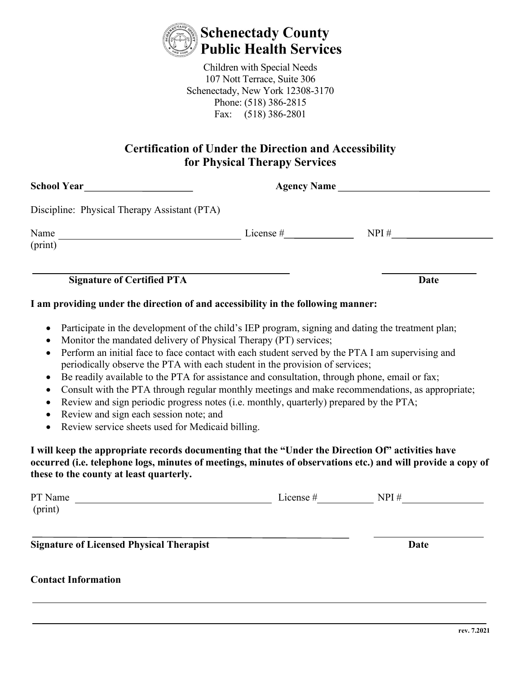

Children with Special Needs 107 Nott Terrace, Suite 306 Schenectady, New York 12308-3170 Phone: (518) 386-2815 Fax: (518) 386-2801

## **Certification of Under the Direction and Accessibility for Physical Therapy Services**

|                                                                                                                                                                                                                                                                         | <b>Date</b>                                                                                                                                                                                                                                                                                                                                                                                                              |
|-------------------------------------------------------------------------------------------------------------------------------------------------------------------------------------------------------------------------------------------------------------------------|--------------------------------------------------------------------------------------------------------------------------------------------------------------------------------------------------------------------------------------------------------------------------------------------------------------------------------------------------------------------------------------------------------------------------|
| I am providing under the direction of and accessibility in the following manner:                                                                                                                                                                                        |                                                                                                                                                                                                                                                                                                                                                                                                                          |
| periodically observe the PTA with each student in the provision of services;<br>Be readily available to the PTA for assistance and consultation, through phone, email or fax;<br>Review and sign periodic progress notes (i.e. monthly, quarterly) prepared by the PTA; | Perform an initial face to face contact with each student served by the PTA I am supervising and<br>Consult with the PTA through regular monthly meetings and make recommendations, as appropriate;<br>I will keep the appropriate records documenting that the "Under the Direction Of" activities have<br>occurred (i.e. telephone logs, minutes of meetings, minutes of observations etc.) and will provide a copy of |
|                                                                                                                                                                                                                                                                         | PT Name $\frac{1}{\sqrt{1-\frac{1}{2}}\sqrt{1-\frac{1}{2}}\sqrt{1-\frac{1}{2}}\sqrt{1-\frac{1}{2}}\sqrt{1-\frac{1}{2}}\sqrt{1-\frac{1}{2}}\sqrt{1-\frac{1}{2}}\sqrt{1-\frac{1}{2}}\sqrt{1-\frac{1}{2}}\sqrt{1-\frac{1}{2}}\sqrt{1-\frac{1}{2}}\sqrt{1-\frac{1}{2}}\sqrt{1-\frac{1}{2}}\sqrt{1-\frac{1}{2}}\sqrt{1-\frac{1}{2}}\sqrt{1-\frac{1}{2}}\sqrt{1-\frac{1}{2}}\sqrt{1-\frac{1}{2}}\sqrt{1-\frac{1}{$             |
|                                                                                                                                                                                                                                                                         | Date                                                                                                                                                                                                                                                                                                                                                                                                                     |
|                                                                                                                                                                                                                                                                         | Participate in the development of the child's IEP program, signing and dating the treatment plan;<br>Monitor the mandated delivery of Physical Therapy (PT) services;<br>Review service sheets used for Medicaid billing.                                                                                                                                                                                                |